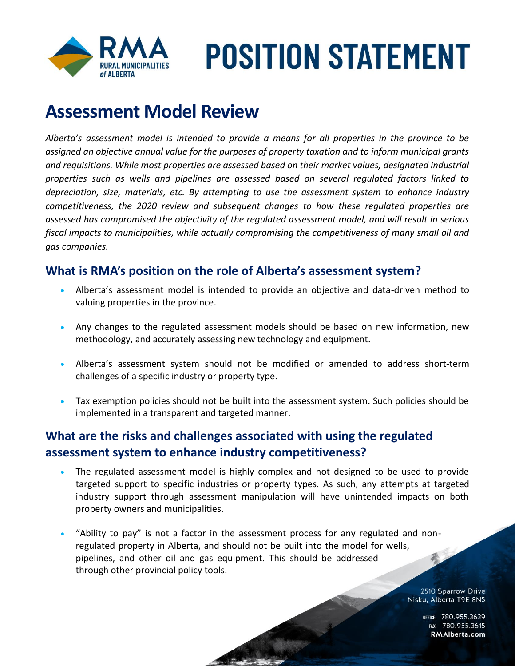

### **Assessment Model Review**

*Alberta's assessment model is intended to provide a means for all properties in the province to be assigned an objective annual value for the purposes of property taxation and to inform municipal grants and requisitions. While most properties are assessed based on their market values, designated industrial properties such as wells and pipelines are assessed based on several regulated factors linked to depreciation, size, materials, etc. By attempting to use the assessment system to enhance industry competitiveness, the 2020 review and subsequent changes to how these regulated properties are assessed has compromised the objectivity of the regulated assessment model, and will result in serious fiscal impacts to municipalities, while actually compromising the competitiveness of many small oil and gas companies.*

#### **What is RMA's position on the role of Alberta's assessment system?**

- Alberta's assessment model is intended to provide an objective and data-driven method to valuing properties in the province.
- Any changes to the regulated assessment models should be based on new information, new methodology, and accurately assessing new technology and equipment.
- Alberta's assessment system should not be modified or amended to address short-term challenges of a specific industry or property type.
- Tax exemption policies should not be built into the assessment system. Such policies should be implemented in a transparent and targeted manner.

#### **What are the risks and challenges associated with using the regulated assessment system to enhance industry competitiveness?**

- The regulated assessment model is highly complex and not designed to be used to provide targeted support to specific industries or property types. As such, any attempts at targeted industry support through assessment manipulation will have unintended impacts on both property owners and municipalities.
- "Ability to pay" is not a factor in the assessment process for any regulated and nonregulated property in Alberta, and should not be built into the model for wells, pipelines, and other oil and gas equipment. This should be addressed through other provincial policy tools.

2510 Sparrow Drive Nisku, Alberta T9E 8N5

> OFFICE: 780.955.3639<br>115.780.955.3615 RMAlberta.com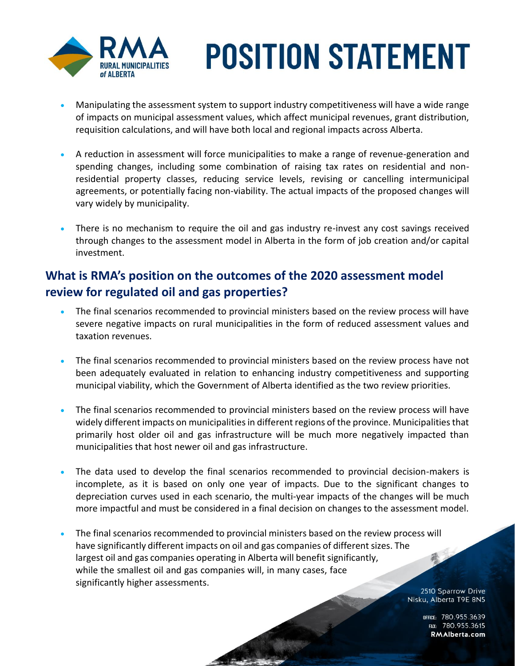

- Manipulating the assessment system to support industry competitiveness will have a wide range of impacts on municipal assessment values, which affect municipal revenues, grant distribution, requisition calculations, and will have both local and regional impacts across Alberta.
- A reduction in assessment will force municipalities to make a range of revenue-generation and spending changes, including some combination of raising tax rates on residential and nonresidential property classes, reducing service levels, revising or cancelling intermunicipal agreements, or potentially facing non-viability. The actual impacts of the proposed changes will vary widely by municipality.
- There is no mechanism to require the oil and gas industry re-invest any cost savings received through changes to the assessment model in Alberta in the form of job creation and/or capital investment.

#### **What is RMA's position on the outcomes of the 2020 assessment model review for regulated oil and gas properties?**

- The final scenarios recommended to provincial ministers based on the review process will have severe negative impacts on rural municipalities in the form of reduced assessment values and taxation revenues.
- The final scenarios recommended to provincial ministers based on the review process have not been adequately evaluated in relation to enhancing industry competitiveness and supporting municipal viability, which the Government of Alberta identified as the two review priorities.
- The final scenarios recommended to provincial ministers based on the review process will have widely different impacts on municipalities in different regions of the province. Municipalities that primarily host older oil and gas infrastructure will be much more negatively impacted than municipalities that host newer oil and gas infrastructure.
- The data used to develop the final scenarios recommended to provincial decision-makers is incomplete, as it is based on only one year of impacts. Due to the significant changes to depreciation curves used in each scenario, the multi-year impacts of the changes will be much more impactful and must be considered in a final decision on changes to the assessment model.
- The final scenarios recommended to provincial ministers based on the review process will have significantly different impacts on oil and gas companies of different sizes. The largest oil and gas companies operating in Alberta will benefit significantly, while the smallest oil and gas companies will, in many cases, face significantly higher assessments.

2510 Sparrow Drive Nisku, Alberta T9E 8N5

> office: 780.955.3639<br>15.780.955.3615. rax: RMAlberta.com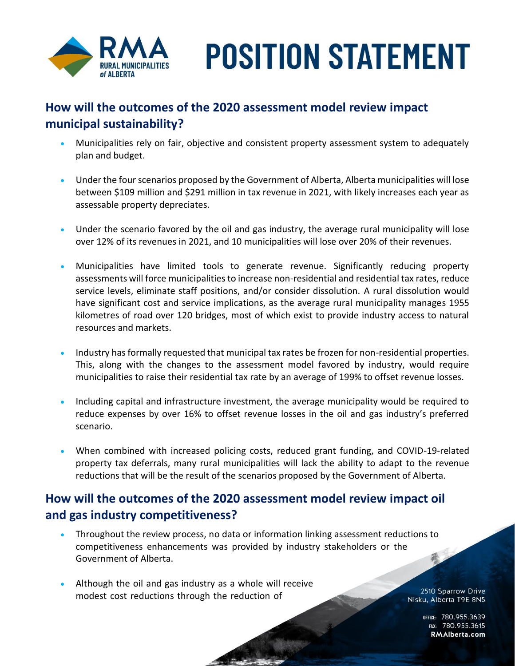

#### **How will the outcomes of the 2020 assessment model review impact municipal sustainability?**

- Municipalities rely on fair, objective and consistent property assessment system to adequately plan and budget.
- Under the four scenarios proposed by the Government of Alberta, Alberta municipalities will lose between \$109 million and \$291 million in tax revenue in 2021, with likely increases each year as assessable property depreciates.
- Under the scenario favored by the oil and gas industry, the average rural municipality will lose over 12% of its revenues in 2021, and 10 municipalities will lose over 20% of their revenues.
- Municipalities have limited tools to generate revenue. Significantly reducing property assessments will force municipalities to increase non-residential and residential tax rates, reduce service levels, eliminate staff positions, and/or consider dissolution. A rural dissolution would have significant cost and service implications, as the average rural municipality manages 1955 kilometres of road over 120 bridges, most of which exist to provide industry access to natural resources and markets.
- Industry has formally requested that municipal tax rates be frozen for non-residential properties. This, along with the changes to the assessment model favored by industry, would require municipalities to raise their residential tax rate by an average of 199% to offset revenue losses.
- Including capital and infrastructure investment, the average municipality would be required to reduce expenses by over 16% to offset revenue losses in the oil and gas industry's preferred scenario.
- When combined with increased policing costs, reduced grant funding, and COVID-19-related property tax deferrals, many rural municipalities will lack the ability to adapt to the revenue reductions that will be the result of the scenarios proposed by the Government of Alberta.

#### **How will the outcomes of the 2020 assessment model review impact oil and gas industry competitiveness?**

- Throughout the review process, no data or information linking assessment reductions to competitiveness enhancements was provided by industry stakeholders or the Government of Alberta.
- Although the oil and gas industry as a whole will receive modest cost reductions through the reduction of

2510 Sparrow Drive Nisku, Alberta T9E 8N5

> office: 780.955.3639<br>15.780.955.3615. rax: RMAlberta.com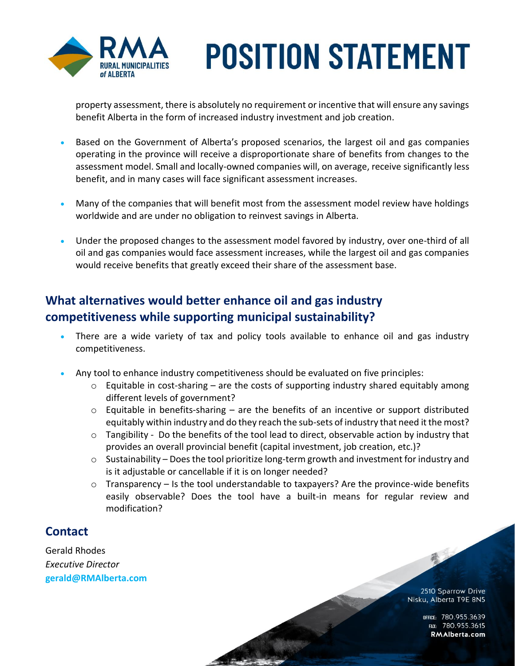

property assessment, there is absolutely no requirement or incentive that will ensure any savings benefit Alberta in the form of increased industry investment and job creation.

- Based on the Government of Alberta's proposed scenarios, the largest oil and gas companies operating in the province will receive a disproportionate share of benefits from changes to the assessment model. Small and locally-owned companies will, on average, receive significantly less benefit, and in many cases will face significant assessment increases.
- Many of the companies that will benefit most from the assessment model review have holdings worldwide and are under no obligation to reinvest savings in Alberta.
- Under the proposed changes to the assessment model favored by industry, over one-third of all oil and gas companies would face assessment increases, while the largest oil and gas companies would receive benefits that greatly exceed their share of the assessment base.

#### **What alternatives would better enhance oil and gas industry competitiveness while supporting municipal sustainability?**

- There are a wide variety of tax and policy tools available to enhance oil and gas industry competitiveness.
- Any tool to enhance industry competitiveness should be evaluated on five principles:
	- $\circ$  Equitable in cost-sharing are the costs of supporting industry shared equitably among different levels of government?
	- $\circ$  Equitable in benefits-sharing are the benefits of an incentive or support distributed equitably within industry and do they reach the sub-sets of industry that need it the most?
	- o Tangibility Do the benefits of the tool lead to direct, observable action by industry that provides an overall provincial benefit (capital investment, job creation, etc.)?
	- $\circ$  Sustainability Does the tool prioritize long-term growth and investment for industry and is it adjustable or cancellable if it is on longer needed?
	- $\circ$  Transparency Is the tool understandable to taxpayers? Are the province-wide benefits easily observable? Does the tool have a built-in means for regular review and modification?

#### **Contact**

Gerald Rhodes *Executive Director* **[gerald@RMAlberta.com](mailto:gerald@RMAlberta.com)**

> 2510 Sparrow Drive Nisku, Alberta T9E 8N5

承

office: 780.955.3639<br>15.780.955.3615. rax: RMAlberta.com